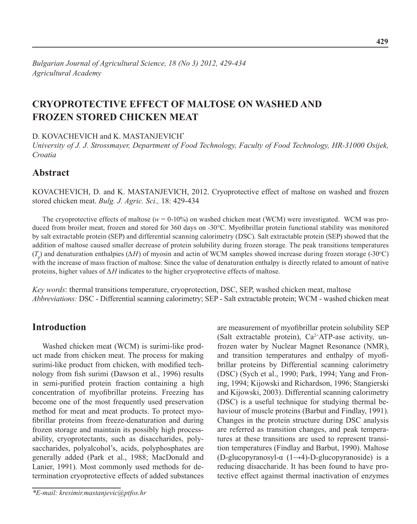# **Cryoprotective effect of maltose on washed and frozen stored chicken meat**

D. KOVACHEVICH and K. MASTANJEVICH<sup>\*</sup>

*University of J. J. Strossmayer, Department of Food Technology, Faculty of Food Technology, HR-31000 Osijek, Croatia*

## **Abstract**

KovaCHeviCH, D. and K. MastanjeviCH, 2012. Cryoprotective effect of maltose on washed and frozen stored chicken meat. *Bulg. J. Agric. Sci.,* 18: 429-434

The cryoprotective effects of maltose ( $w = 0-10\%$ ) on washed chicken meat (WCM) were investigated. WCM was produced from broiler meat, frozen and stored for 360 days on -30°C. Myofibrillar protein functional stability was monitored by salt extractable protein (SEP) and differential scanning calorimetry (DSC). Salt extractable protein (SEP) showed that the addition of maltose caused smaller decrease of protein solubility during frozen storage. The peak transitions temperatures  $(T_p)$  and denaturation enthalpies (Δ*H*) of myosin and actin of WCM samples showed increase during frozen storage (-30°C) with the increase of mass fraction of maltose. Since the value of denaturation enthalpy is directly related to amount of native proteins, higher values of  $\Delta H$  indicates to the higher cryoprotective effects of maltose.

*Key words*: thermal transitions temperature, cryoprotection, DSC, SEP, washed chicken meat, maltose *Abbreviations:* DSC - Differential scanning calorimetry; SEP - Salt extractable protein; WCM - washed chicken meat

## **Introduction**

Washed chicken meat (WCM) is surimi-like product made from chicken meat. The process for making surimi-like product from chicken, with modified technology from fish surimi (Dawson et al., 1996) results in semi-purified protein fraction containing a high concentration of myofibrillar proteins. Freezing has become one of the most frequently used preservation method for meat and meat products. To protect myofibrillar proteins from freeze-denaturation and during frozen storage and maintain its possibly high processability, cryoprotectants, such as disaccharides, polysaccharides, polyalcohol's, acids, polyphosphates are generally added (Park et al., 1988; MacDonald and Lanier, 1991). Most commonly used methods for determination cryoprotective effects of added substances

*\*E-mail: kresimir.mastanjevic@ptfos.hr*

are measurement of myofibrillar protein solubility SEP (Salt extractable protein),  $Ca^{2+}ATP$ -ase activity, unfrozen water by Nuclear Magnet Resonance (NMR), and transition temperatures and enthalpy of myofibrillar proteins by Differential scanning calorimetry (DSC) (Sych et al., 1990; Park, 1994; Yang and Froning, 1994; Kijowski and Richardson, 1996; Stangierski and Kijowski, 2003). Differential scanning calorimetry (DSC) is a useful technique for studying thermal behaviour of muscle proteins (Barbut and Findlay, 1991). Changes in the protein structure during DSC analysis are referred as transition changes, and peak temperatures at these transitions are used to represent transition temperatures (Findlay and Barbut, 1990). Maltose (D-glucopyranosyl-α (1→4)-D-glucopyranoside) is a reducing disaccharide. It has been found to have protective effect against thermal inactivation of enzymes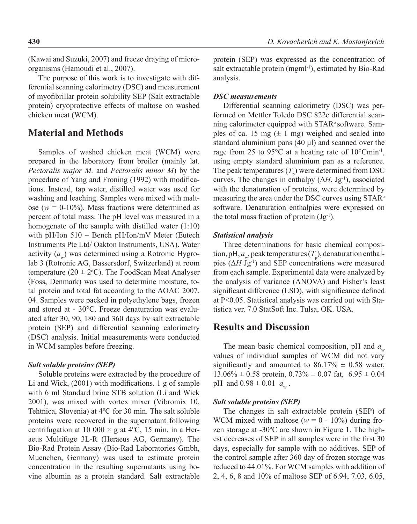(Kawai and Suzuki, 2007) and freeze draying of microorganisms (Hamoudi et al., 2007).

The purpose of this work is to investigate with differential scanning calorimetry (DSC) and measurement of myofibrillar protein solubility SEP (Salt extractable protein) cryoprotective effects of maltose on washed chicken meat (WCM).

### **Material and Methods**

Samples of washed chicken meat (WCM) were prepared in the laboratory from broiler (mainly lat. *Pectoralis major M.* and *Pectoralis minor M*) by the procedure of Yang and Froning (1992) with modifications. Instead, tap water, distilled water was used for washing and leaching. Samples were mixed with maltose ( $w = 0.10\%$ ). Mass fractions were determined as percent of total mass. The pH level was measured in a homogenate of the sample with distilled water (1:10) with pH/Ion 510 – Bench pH/Ion/mV Meter (Eutech Instruments Pte Ltd/ Oakton Instruments, USA). Water activity  $(a_n)$  was determined using a Rotronic Hygrolab 3 (Rotronic AG, Bassersdorf, Switzerland) at room temperature ( $20 \pm 2$ °C). The FoodScan Meat Analyser (Foss, Denmark) was used to determine moisture, total protein and total fat according to the AOAC 2007. 04. Samples were packed in polyethylene bags, frozen and stored at - 30°C. Freeze denaturation was evaluated after 30, 90, 180 and 360 days by salt extractable protein (SEP) and differential scanning calorimetry (DSC) analysis. Initial measurements were conducted in WCM samples before freezing.

### *Salt soluble proteins (SEP)*

Soluble proteins were extracted by the procedure of Li and Wick, (2001) with modifications. 1 g of sample with 6 ml Standard brine STB solution (Li and Wick 2001), was mixed with vortex mixer (Vibromix 10, Tehtnica, Slovenia) at 4ºC for 30 min. The salt soluble proteins were recovered in the supernatant following centrifugation at 10 000  $\times$  g at 4°C, 15 min. in a Heraeus Multifuge 3L-R (Heraeus AG, Germany). The Bio-Rad Protein Assay (Bio-Rad Laboratories Gmbh, Muenchen, Germany) was used to estimate protein concentration in the resulting supernatants using bovine albumin as a protein standard. Salt extractable

protein (SEP) was expressed as the concentration of salt extractable protein (mgml<sup>-1</sup>), estimated by Bio-Rad analysis.

### *DSC measurements*

Differential scanning calorimetry (DSC) was performed on Mettler Toledo DSC 822e differential scanning calorimeter equipped with STAR<sup>e</sup> software. Samples of ca. 15 mg  $(\pm 1$  mg) weighed and sealed into standard aluminium pans (40 μl) and scanned over the rage from 25 to 95 $\degree$ C at a heating rate of 10 $\degree$ Cmin<sup>-1</sup>, using empty standard aluminium pan as a reference. The peak temperatures  $(T_p)$  were determined from DSC curves. The changes in enthalpy  $(\Delta H, Jg^{-1})$ , associated with the denaturation of proteins, were determined by measuring the area under the DSC curves using STARe software. Denaturation enthalpies were expressed on the total mass fraction of protein  $(Jg^{-1})$ .

### *Statistical analysis*

Three determinations for basic chemical composition, pH,  $a_w$ , peak temperatures ( $T_p$ ), denaturation enthalpies  $(\Delta H Jg^{-1})$  and SEP concentrations were measured from each sample. Experimental data were analyzed by the analysis of variance (ANOVA) and Fisher's least significant difference (LSD), with significance defined at P<0.05. Statistical analysis was carried out with Statistica ver. 7.0 StatSoft Inc. Tulsa, OK. USA.

## **Results and Discussion**

The mean basic chemical composition, pH and  $a_w$ values of individual samples of WCM did not vary significantly and amounted to  $86.17\% \pm 0.58$  water,  $13.06\% \pm 0.58$  protein,  $0.73\% \pm 0.07$  fat,  $6.95 \pm 0.04$ pH and  $0.98 \pm 0.01 a_w$ .

### *Salt soluble proteins (SEP)*

The changes in salt extractable protein (SEP) of WCM mixed with maltose ( $w = 0 - 10\%$ ) during frozen storage at -30ºC are shown in Figure 1. The highest decreases of SEP in all samples were in the first 30 days, especially for sample with no additives. SEP of the control sample after 360 day of frozen storage was reduced to 44.01%. For WCM samples with addition of 2, 4, 6, 8 and 10% of maltose SEP of 6.94, 7.03, 6.05,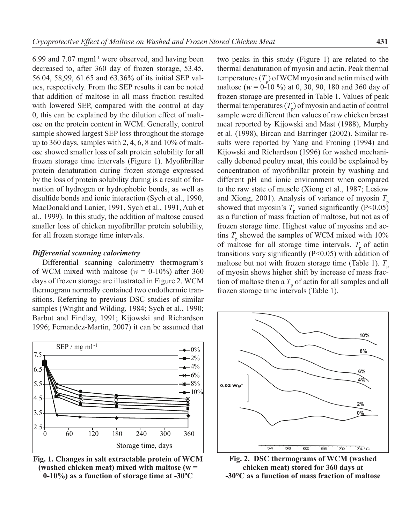6.99 and 7.07 mgml-1 were observed, and having been decreased to, after 360 day of frozen storage, 53.45, 56.04, 58,99, 61.65 and 63.36% of its initial SEP values, respectively. From the SEP results it can be noted that addition of maltose in all mass fraction resulted with lowered SEP, compared with the control at day 0, this can be explained by the dilution effect of maltose on the protein content in WCM. Generally, control sample showed largest SEP loss throughout the storage up to 360 days, samples with 2, 4, 6, 8 and 10% of maltose showed smaller loss of salt protein solubility for all frozen storage time intervals (Figure 1). Myofibrillar protein denaturation during frozen storage expressed by the loss of protein solubility during is a result of formation of hydrogen or hydrophobic bonds, as well as disulfide bonds and ionic interaction (Sych et al., 1990, MacDonald and Lanier, 1991, Sych et al., 1991, Auh et al., 1999). In this study, the addition of maltose caused smaller loss of chicken myofibrillar protein solubility, for all frozen storage time intervals.

#### *Differential scanning calorimetry*

Differential scanning calorimetry thermogram's of WCM mixed with maltose ( $w = 0.10\%$ ) after 360 days of frozen storage are illustrated in Figure 2. WCM thermogram normally contained two endothermic transitions. Referring to previous DSC studies of similar samples (Wright and Wilding, 1984; Sych et al., 1990; Barbut and Findlay, 1991; Kijowski and Richardson 1996; Fernandez-Martin, 2007) it can be assumed that



**Fig. 1. Changes in salt extractable protein of WCM (washed chicken meat) mixed with maltose (w = 0-10%) as a function of storage time at -30ºC**

two peaks in this study (Figure 1) are related to the thermal denaturation of myosin and actin. Peak thermal temperatures  $(T_p)$  of WCM myosin and actin mixed with maltose ( $w = 0-10\%$ ) at 0, 30, 90, 180 and 360 day of frozen storage are presented in Table 1. Values of peak thermal temperatures  $(T_p)$  of myosin and actin of control sample were different then values of raw chicken breast meat reported by Kijowski and Mast (1988), Murphy et al. (1998), Bircan and Barringer (2002). Similar results were reported by Yang and Froning (1994) and Kijowski and Richardson (1996) for washed mechanically deboned poultry meat, this could be explained by concentration of myofibrillar protein by washing and different pH and ionic environment when compared to the raw state of muscle (Xiong et al., 1987; Lesiow and Xiong, 2001). Analysis of variance of myosin *T*<sup>p</sup> showed that myosin's  $T_p$  varied significantly (P<0.05) as a function of mass fraction of maltose, but not as of frozen storage time. Highest value of myosins and actins  $T_{\text{p}}$  showed the samples of WCM mixed with 10% of maltose for all storage time intervals.  $T_p$  of actin transitions vary significantly (P<0.05) with addition of maltose but not with frozen storage time (Table 1).  $T_p$ of myosin shows higher shift by increase of mass fraction of maltose then a  $T_{\text{p}}$  of actin for all samples and all frozen storage time intervals (Table 1).



**Fig. 2. DSC thermograms of WCM (washed chicken meat) stored for 360 days at -30°C as a function of mass fraction of maltose**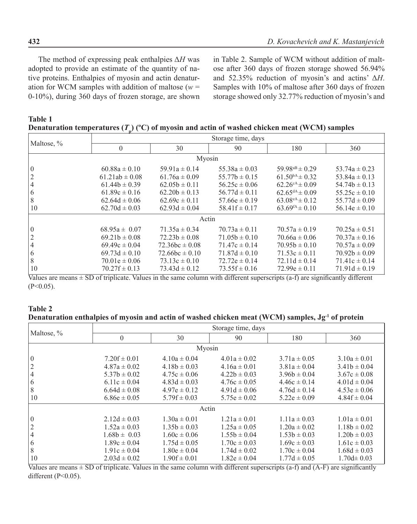The method of expressing peak enthalpies Δ*H* was adopted to provide an estimate of the quantity of native proteins. Enthalpies of myosin and actin denaturation for WCM samples with addition of maltose ( $w =$ 0-10%), during 360 days of frozen storage, are shown in Table 2. Sample of WCM without addition of maltose after 360 days of frozen storage showed 56.94% and 52.35% reduction of myosin's and actins' Δ*H*. Samples with 10% of maltose after 360 days of frozen storage showed only 32.77% reduction of myosin's and

| <b>Table 1</b> |                                                                                                 |  |
|----------------|-------------------------------------------------------------------------------------------------|--|
|                | Denaturation temperatures $(T_n)$ (°C) of myosin and actin of washed chicken meat (WCM) samples |  |

| Maltose, %     |                    |                    | Storage time, days |                              |                   |  |  |  |  |
|----------------|--------------------|--------------------|--------------------|------------------------------|-------------------|--|--|--|--|
|                | $\theta$           | 30                 | 90                 | 180                          | 360               |  |  |  |  |
| Myosin         |                    |                    |                    |                              |                   |  |  |  |  |
| $\overline{0}$ | $60.88a \pm 0.10$  | $59.91a \pm 0.14$  | $55.38a \pm 0.03$  | $59.98^{aB} \pm 0.29$        | 53.74a $\pm$ 0.23 |  |  |  |  |
|                | $61.21ab \pm 0.08$ | $61.76a \pm 0.09$  | $55.77b \pm 0.15$  | $61.50^{bA} \pm 0.32$        | 53.84a $\pm$ 0.13 |  |  |  |  |
|                | $61.44b \pm 0.39$  | $62.05b \pm 0.11$  | $56.25c \pm 0.06$  | $62.26^{\text{cA}} \pm 0.09$ | $54.74b \pm 0.13$ |  |  |  |  |
| 6              | $61.89c \pm 0.16$  | $62.20h \pm 0.13$  | $56.77d \pm 0.11$  | $62.65^{dA} \pm 0.09$        | $55.25c \pm 0.10$ |  |  |  |  |
| 8              | $62.64d \pm 0.06$  | $62.69c \pm 0.11$  | $57.66e \pm 0.19$  | $63.08^{\text{eA}} \pm 0.12$ | $55.77d \pm 0.09$ |  |  |  |  |
| 10             | $62.70d \pm 0.03$  | $62.93d \pm 0.04$  | $58.41f \pm 0.17$  | $63.69^{fA} \pm 0.10$        | $56.14e \pm 0.10$ |  |  |  |  |
| Actin          |                    |                    |                    |                              |                   |  |  |  |  |
| $\theta$       | $68.95a \pm 0.07$  | $71.35a \pm 0.34$  | $70.73a \pm 0.11$  | $70.57a \pm 0.19$            | $70.25a \pm 0.51$ |  |  |  |  |
|                | $69.21b \pm 0.08$  | $72.23b \pm 0.08$  | $71.05b \pm 0.10$  | $70.66a \pm 0.06$            | $70.37a \pm 0.16$ |  |  |  |  |
|                | $69.49c \pm 0.04$  | $72.36bc \pm 0.08$ | $71.47c \pm 0.14$  | $70.95b \pm 0.10$            | $70.57a \pm 0.09$ |  |  |  |  |
| 6              | $69.73d \pm 0.10$  | $72.66bc \pm 0.10$ | $71.87d \pm 0.10$  | $71.53c \pm 0.11$            | $70.92h \pm 0.09$ |  |  |  |  |
| 8              | $70.01e \pm 0.06$  | $73.13c \pm 0.10$  | $72.72e \pm 0.14$  | $72.11d \pm 0.14$            | $71.41c \pm 0.14$ |  |  |  |  |
| 10             | $70.27f \pm 0.13$  | $73.43d \pm 0.12$  | $73.55f \pm 0.16$  | $72.99e \pm 0.11$            | $71.91d \pm 0.19$ |  |  |  |  |

Values are means  $\pm$  SD of triplicate. Values in the same column with different superscripts (a-f) are significantly different  $(P<0.05)$ .

### **Table 2** Denaturation enthalpies of myosin and actin of washed chicken meat (WCM) samples, Jg<sup>-1</sup> of protein

| Maltose, %     |                  |                  | Storage time, days |                  |                  |  |  |  |  |
|----------------|------------------|------------------|--------------------|------------------|------------------|--|--|--|--|
|                | $\theta$         | 30               | 90                 | 180              | 360              |  |  |  |  |
| Myosin         |                  |                  |                    |                  |                  |  |  |  |  |
| $\overline{0}$ | $7.20f \pm 0.01$ | $4.10a \pm 0.04$ | $4.01a \pm 0.02$   | $3.71a \pm 0.05$ | $3.10a \pm 0.01$ |  |  |  |  |
|                | $4.87a \pm 0.02$ | $4.18b \pm 0.03$ | $4.16a \pm 0.01$   | $3.81a \pm 0.04$ | $3.41b \pm 0.04$ |  |  |  |  |
| 4              | $5.37b \pm 0.02$ | $4.75c \pm 0.06$ | $4.22b \pm 0.03$   | $3.96b \pm 0.04$ | $3.67c \pm 0.08$ |  |  |  |  |
| 6              | 6.11c $\pm$ 0.04 | $4.83d \pm 0.03$ | $4.76c \pm 0.05$   | $4.46c \pm 0.14$ | $4.01d \pm 0.04$ |  |  |  |  |
| 8              | $6.64d \pm 0.08$ | $4.97e \pm 0.12$ | $4.91d \pm 0.06$   | $4.76d \pm 0.14$ | $4.53e \pm 0.06$ |  |  |  |  |
| 10             | $6.86e \pm 0.05$ | $5.79f \pm 0.03$ | $5.75e \pm 0.02$   | $5.22e \pm 0.09$ | $4.84f \pm 0.04$ |  |  |  |  |
| Actin          |                  |                  |                    |                  |                  |  |  |  |  |
| $\theta$       | $2.12d \pm 0.03$ | $1.30a \pm 0.01$ | $1.21a \pm 0.01$   | $1.11a \pm 0.03$ | $1.01a \pm 0.01$ |  |  |  |  |
|                | $1.52a \pm 0.03$ | $1.35b \pm 0.03$ | $1.25a \pm 0.05$   | $1.20a \pm 0.02$ | $1.18b \pm 0.02$ |  |  |  |  |
| 4              | $1.68b \pm 0.03$ | $1.60c \pm 0.06$ | $1.55b \pm 0.04$   | $1.53b \pm 0.03$ | $1.20b \pm 0.03$ |  |  |  |  |
| 6              | $1.89c \pm 0.04$ | $1.75d \pm 0.05$ | $1.70c \pm 0.03$   | $1.69c \pm 0.03$ | $1.61c \pm 0.03$ |  |  |  |  |
| 8              | $1.91c \pm 0.04$ | $1.80e \pm 0.04$ | $1.74d \pm 0.02$   | $1.70c \pm 0.04$ | $1.68d \pm 0.03$ |  |  |  |  |
| 10             | $2.03d \pm 0.02$ | $1.90f \pm 0.01$ | $1.82e \pm 0.04$   | $1.77d \pm 0.05$ | $1.70d \pm 0.03$ |  |  |  |  |

Values are means  $\pm$  SD of triplicate. Values in the same column with different superscripts (a-f) and (A-F) are significantly different (P<0.05).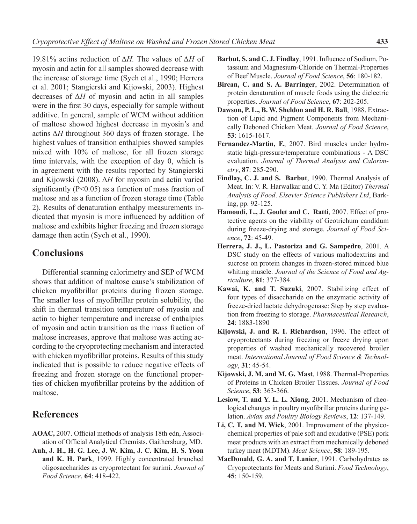19.81% actins reduction of Δ*H.* The values of Δ*H* of myosin and actin for all samples showed decrease with the increase of storage time (Sych et al., 1990; Herrera et al. 2001; Stangierski and Kijowski, 2003). Highest decreases of Δ*H* of myosin and actin in all samples were in the first 30 days, especially for sample without additive. In general, sample of WCM without addition of maltose showed highest decrease in myosin's and actins Δ*H* throughout 360 days of frozen storage. The highest values of transition enthalpies showed samples mixed with 10% of maltose, for all frozen storage time intervals, with the exception of day 0, which is in agreement with the results reported by Stangierski and Kijowski (2008). Δ*H* for myosin and actin varied significantly (P<0.05) as a function of mass fraction of maltose and as a function of frozen storage time (Table 2). Results of denaturation enthalpy measurements indicated that myosin is more influenced by addition of maltose and exhibits higher freezing and frozen storage damage then actin (Sych et al., 1990).

### **Conclusions**

Differential scanning calorimetry and SEP of WCM shows that addition of maltose cause's stabilization of chicken myofibrillar proteins during frozen storage. The smaller loss of myofibrillar protein solubility, the shift in thermal transition temperature of myosin and actin to higher temperature and increase of enthalpies of myosin and actin transition as the mass fraction of maltose increases, approve that maltose was acting according to the cryoprotecting mechanism and interacted with chicken myofibrillar proteins. Results of this study indicated that is possible to reduce negative effects of freezing and frozen storage on the functional properties of chicken myofibrillar proteins by the addition of maltose.

### **References**

- **AOAC,** 2007. Official methods of analysis 18th edn, Association of Official Analytical Chemists. Gaithersburg, MD.
- **Auh, J. H., H. G. Lee, J. W. Kim, J. C. Kim, H. S. Yoon and K. H. Park**, 1999. Highly concentrated branched oligosaccharides as cryoprotectant for surimi. *Journal of Food Science*, **64**: 418-422.
- **Barbut, S. and C. J. Findlay**, 1991. Influence of Sodium, Potassium and Magnesium-Chloride on Thermal-Properties of Beef Muscle. *Journal of Food Science*, **56**: 180-182.
- **Bircan, C. and S. A. Barringer**, 2002. Determination of protein denaturation of muscle foods using the dielectric properties. *Journal of Food Science*, **67**: 202-205.
- **Dawson, P. L., B. W. Sheldon and H. R. Ball**, 1988. Extraction of Lipid and Pigment Components from Mechanically Deboned Chicken Meat. *Journal of Food Science*, **53**: 1615-1617.
- **Fernandez-Martin, F.**, 2007. Bird muscles under hydrostatic high-pressure/temperature combinations - A DSC evaluation. *Journal of Thermal Analysis and Calorimetry*, **87**: 285-290.
- **Findlay, C. J. and S. Barbut**, 1990. Thermal Analysis of Meat. In: V. R. Harwalkar and C. Y. Ma (Editor) *Thermal Analysis of Food*. *Elsevier Science Publishers Ltd*, Barking, pp. 92-125.
- **Hamoudi, L., J. Goulet and C. Ratti**, 2007. Effect of protective agents on the viability of Geotrichum candidum during freeze-drying and storage. *Journal of Food Science*, **72**: 45-49.
- **Herrera, J. J., L. Pastoriza and G. Sampedro**, 2001. A DSC study on the effects of various maltodextrins and sucrose on protein changes in frozen-stored minced blue whiting muscle. *Journal of the Science of Food and Agriculture*, **81**: 377-384.
- **Kawai, K. and T. Suzuki**, 2007. Stabilizing effect of four types of disaccharide on the enzymatic activity of freeze-dried lactate dehydrogenase: Step by step evaluation from freezing to storage. *Pharmaceutical Research*, **24**: 1883-1890
- **Kijowski, J. and R. I. Richardson**, 1996. The effect of cryoprotectants during freezing or freeze drying upon properties of washed mechanically recovered broiler meat. *International Journal of Food Science & Technology*, **31**: 45-54.
- **Kijowski, J. M. and M. G. Mast**, 1988. Thermal-Properties of Proteins in Chicken Broiler Tissues. *Journal of Food Science*, **53**: 363-366.
- **Lesiow, T. and Y. L. L. Xiong**, 2001. Mechanism of rheological changes in poultry myofibrillar proteins during gelation. *Avian and Poultry Biology Reviews*, **12**: 137-149.
- **Li, C. T. and M. Wick**, 2001. Improvement of the physicochemical properties of pale soft and exudative (PSE) pork meat products with an extract from mechanically deboned turkey meat (MDTM). *Meat Science*, **58**: 189-195.
- **MacDonald, G. A. and T. Lanier**, 1991. Carbohydrates as Cryoprotectants for Meats and Surimi. *Food Technology*, **45**: 150-159.